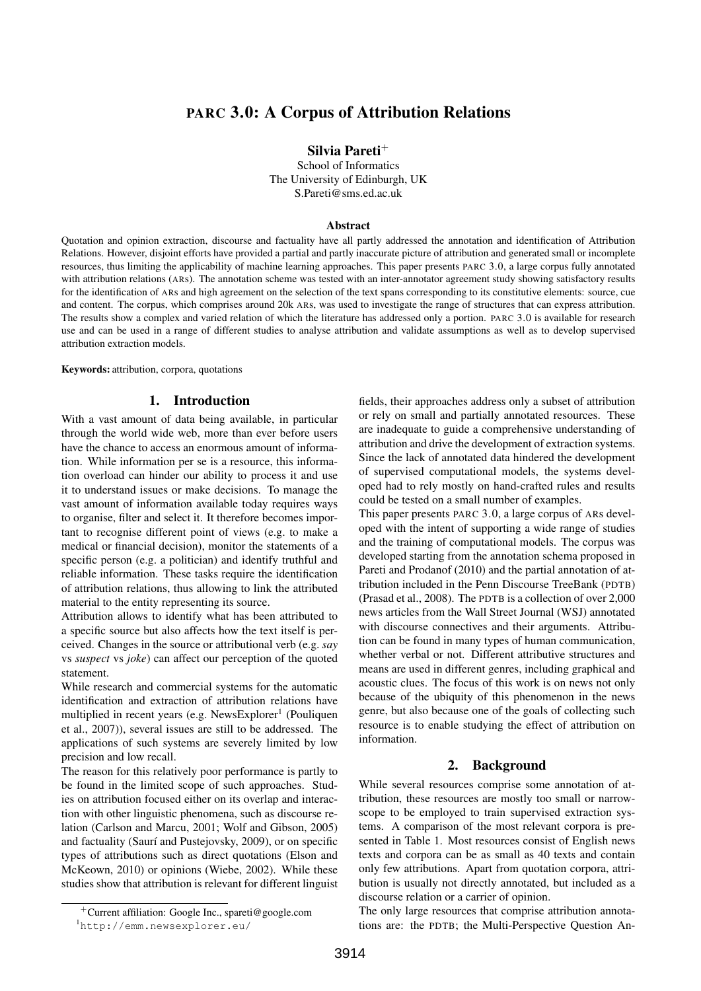# PARC 3.0: A Corpus of Attribution Relations

Silvia Pareti<sup>+</sup>

School of Informatics The University of Edinburgh, UK S.Pareti@sms.ed.ac.uk

### Abstract

Quotation and opinion extraction, discourse and factuality have all partly addressed the annotation and identification of Attribution Relations. However, disjoint efforts have provided a partial and partly inaccurate picture of attribution and generated small or incomplete resources, thus limiting the applicability of machine learning approaches. This paper presents PARC 3.0, a large corpus fully annotated with attribution relations (ARs). The annotation scheme was tested with an inter-annotator agreement study showing satisfactory results for the identification of ARs and high agreement on the selection of the text spans corresponding to its constitutive elements: source, cue and content. The corpus, which comprises around 20k ARs, was used to investigate the range of structures that can express attribution. The results show a complex and varied relation of which the literature has addressed only a portion. PARC 3.0 is available for research use and can be used in a range of different studies to analyse attribution and validate assumptions as well as to develop supervised attribution extraction models.

Keywords: attribution, corpora, quotations

## 1. Introduction

With a vast amount of data being available, in particular through the world wide web, more than ever before users have the chance to access an enormous amount of information. While information per se is a resource, this information overload can hinder our ability to process it and use it to understand issues or make decisions. To manage the vast amount of information available today requires ways to organise, filter and select it. It therefore becomes important to recognise different point of views (e.g. to make a medical or financial decision), monitor the statements of a specific person (e.g. a politician) and identify truthful and reliable information. These tasks require the identification of attribution relations, thus allowing to link the attributed material to the entity representing its source.

Attribution allows to identify what has been attributed to a specific source but also affects how the text itself is perceived. Changes in the source or attributional verb (e.g. *say* vs *suspect* vs *joke*) can affect our perception of the quoted statement.

While research and commercial systems for the automatic identification and extraction of attribution relations have multiplied in recent years (e.g. NewsExplorer<sup>1</sup> (Pouliquen et al., 2007)), several issues are still to be addressed. The applications of such systems are severely limited by low precision and low recall.

The reason for this relatively poor performance is partly to be found in the limited scope of such approaches. Studies on attribution focused either on its overlap and interaction with other linguistic phenomena, such as discourse relation (Carlson and Marcu, 2001; Wolf and Gibson, 2005) and factuality (Saurí and Pustejovsky, 2009), or on specific types of attributions such as direct quotations (Elson and McKeown, 2010) or opinions (Wiebe, 2002). While these studies show that attribution is relevant for different linguist fields, their approaches address only a subset of attribution or rely on small and partially annotated resources. These are inadequate to guide a comprehensive understanding of attribution and drive the development of extraction systems. Since the lack of annotated data hindered the development of supervised computational models, the systems developed had to rely mostly on hand-crafted rules and results could be tested on a small number of examples.

This paper presents PARC 3.0, a large corpus of ARs developed with the intent of supporting a wide range of studies and the training of computational models. The corpus was developed starting from the annotation schema proposed in Pareti and Prodanof (2010) and the partial annotation of attribution included in the Penn Discourse TreeBank (PDTB) (Prasad et al., 2008). The PDTB is a collection of over 2,000 news articles from the Wall Street Journal (WSJ) annotated with discourse connectives and their arguments. Attribution can be found in many types of human communication, whether verbal or not. Different attributive structures and means are used in different genres, including graphical and acoustic clues. The focus of this work is on news not only because of the ubiquity of this phenomenon in the news genre, but also because one of the goals of collecting such resource is to enable studying the effect of attribution on information.

#### 2. Background

While several resources comprise some annotation of attribution, these resources are mostly too small or narrowscope to be employed to train supervised extraction systems. A comparison of the most relevant corpora is presented in Table 1. Most resources consist of English news texts and corpora can be as small as 40 texts and contain only few attributions. Apart from quotation corpora, attribution is usually not directly annotated, but included as a discourse relation or a carrier of opinion.

The only large resources that comprise attribution annotations are: the PDTB; the Multi-Perspective Question An-

<sup>+</sup>Current affiliation: Google Inc., spareti@google.com

<sup>1</sup>http://emm.newsexplorer.eu/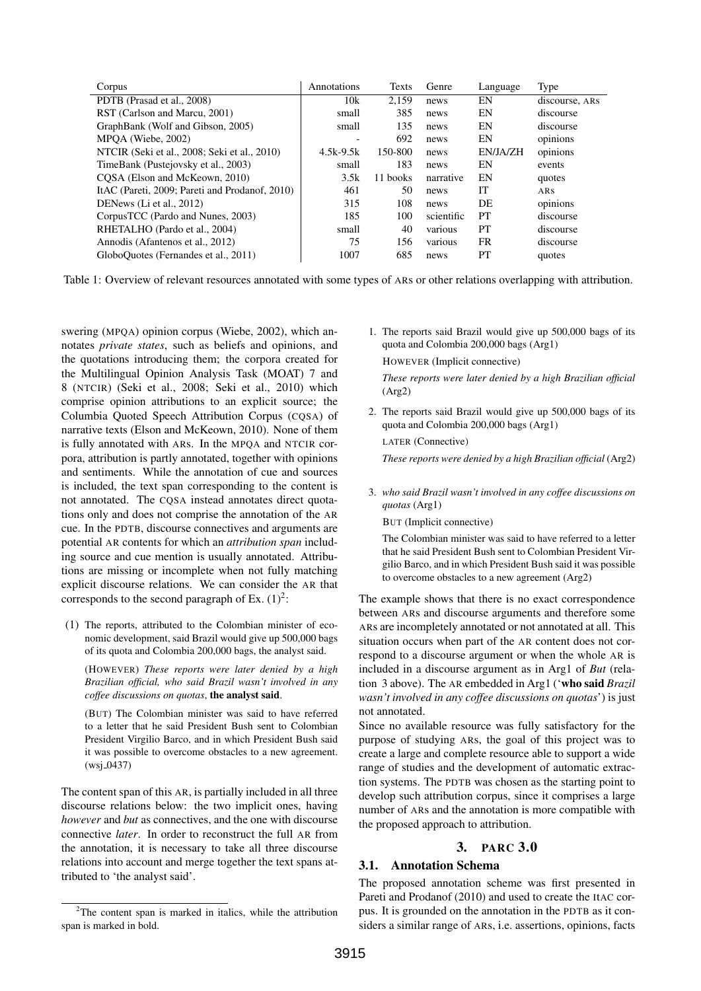| Corpus                                         | Annotations | Texts    | Genre      | Language | Type           |
|------------------------------------------------|-------------|----------|------------|----------|----------------|
| PDTB (Prasad et al., 2008)                     | 10k         | 2.159    | news       | EN       | discourse, ARS |
| RST (Carlson and Marcu, 2001)                  | small       | 385      | news       | EN       | discourse      |
| GraphBank (Wolf and Gibson, 2005)              | small       | 135      | news       | EN       | discourse      |
| MPOA (Wiebe, 2002)                             |             | 692      | news       | EN       | opinions       |
| NTCIR (Seki et al., 2008; Seki et al., 2010)   | $4.5k-9.5k$ | 150-800  | news       | EN/JA/ZH | opinions       |
| TimeBank (Pustejovsky et al., 2003)            | small       | 183      | news       | EN       | events         |
| COSA (Elson and McKeown, 2010)                 | 3.5k        | 11 books | narrative  | EN       | quotes         |
| ItAC (Pareti, 2009; Pareti and Prodanof, 2010) | 461         | 50       | news       | IТ       | ARS            |
| DENews (Li et al., 2012)                       | 315         | 108      | news       | DE       | opinions       |
| CorpusTCC (Pardo and Nunes, 2003)              | 185         | 100      | scientific | PT       | discourse      |
| RHETALHO (Pardo et al., 2004)                  | small       | 40       | various    | PT       | discourse      |
| Annodis (Afantenos et al., 2012)               | 75          | 156      | various    | FR.      | discourse      |
| GloboQuotes (Fernandes et al., 2011)           | 1007        | 685      | news       | PT       | quotes         |
|                                                |             |          |            |          |                |

Table 1: Overview of relevant resources annotated with some types of ARs or other relations overlapping with attribution.

swering (MPQA) opinion corpus (Wiebe, 2002), which annotates *private states*, such as beliefs and opinions, and the quotations introducing them; the corpora created for the Multilingual Opinion Analysis Task (MOAT) 7 and 8 (NTCIR) (Seki et al., 2008; Seki et al., 2010) which comprise opinion attributions to an explicit source; the Columbia Quoted Speech Attribution Corpus (CQSA) of narrative texts (Elson and McKeown, 2010). None of them is fully annotated with ARs. In the MPQA and NTCIR corpora, attribution is partly annotated, together with opinions and sentiments. While the annotation of cue and sources is included, the text span corresponding to the content is not annotated. The CQSA instead annotates direct quotations only and does not comprise the annotation of the AR cue. In the PDTB, discourse connectives and arguments are potential AR contents for which an *attribution span* including source and cue mention is usually annotated. Attributions are missing or incomplete when not fully matching explicit discourse relations. We can consider the AR that corresponds to the second paragraph of Ex.  $(1)^2$ :

(1) The reports, attributed to the Colombian minister of economic development, said Brazil would give up 500,000 bags of its quota and Colombia 200,000 bags, the analyst said.

(HOWEVER) *These reports were later denied by a high Brazilian official, who said Brazil wasn't involved in any coffee discussions on quotas*, the analyst said.

(BUT) The Colombian minister was said to have referred to a letter that he said President Bush sent to Colombian President Virgilio Barco, and in which President Bush said it was possible to overcome obstacles to a new agreement.  $(wsi_0.0437)$ 

The content span of this AR, is partially included in all three discourse relations below: the two implicit ones, having *however* and *but* as connectives, and the one with discourse connective *later*. In order to reconstruct the full AR from the annotation, it is necessary to take all three discourse relations into account and merge together the text spans attributed to 'the analyst said'.

1. The reports said Brazil would give up 500,000 bags of its quota and Colombia 200,000 bags (Arg1)

HOWEVER (Implicit connective)

*These reports were later denied by a high Brazilian official* (Arg2)

2. The reports said Brazil would give up 500,000 bags of its quota and Colombia 200,000 bags (Arg1)

LATER (Connective)

*These reports were denied by a high Brazilian official* (Arg2)

3. *who said Brazil wasn't involved in any coffee discussions on quotas* (Arg1)

BUT (Implicit connective)

The Colombian minister was said to have referred to a letter that he said President Bush sent to Colombian President Virgilio Barco, and in which President Bush said it was possible to overcome obstacles to a new agreement (Arg2)

The example shows that there is no exact correspondence between ARs and discourse arguments and therefore some ARs are incompletely annotated or not annotated at all. This situation occurs when part of the AR content does not correspond to a discourse argument or when the whole AR is included in a discourse argument as in Arg1 of *But* (relation 3 above). The AR embedded in Arg1 ('who said *Brazil wasn't involved in any coffee discussions on quotas*') is just not annotated.

Since no available resource was fully satisfactory for the purpose of studying ARs, the goal of this project was to create a large and complete resource able to support a wide range of studies and the development of automatic extraction systems. The PDTB was chosen as the starting point to develop such attribution corpus, since it comprises a large number of ARs and the annotation is more compatible with the proposed approach to attribution.

# 3. PARC 3.0

# 3.1. Annotation Schema

The proposed annotation scheme was first presented in Pareti and Prodanof (2010) and used to create the ItAC corpus. It is grounded on the annotation in the PDTB as it considers a similar range of ARs, i.e. assertions, opinions, facts

<sup>&</sup>lt;sup>2</sup>The content span is marked in italics, while the attribution span is marked in bold.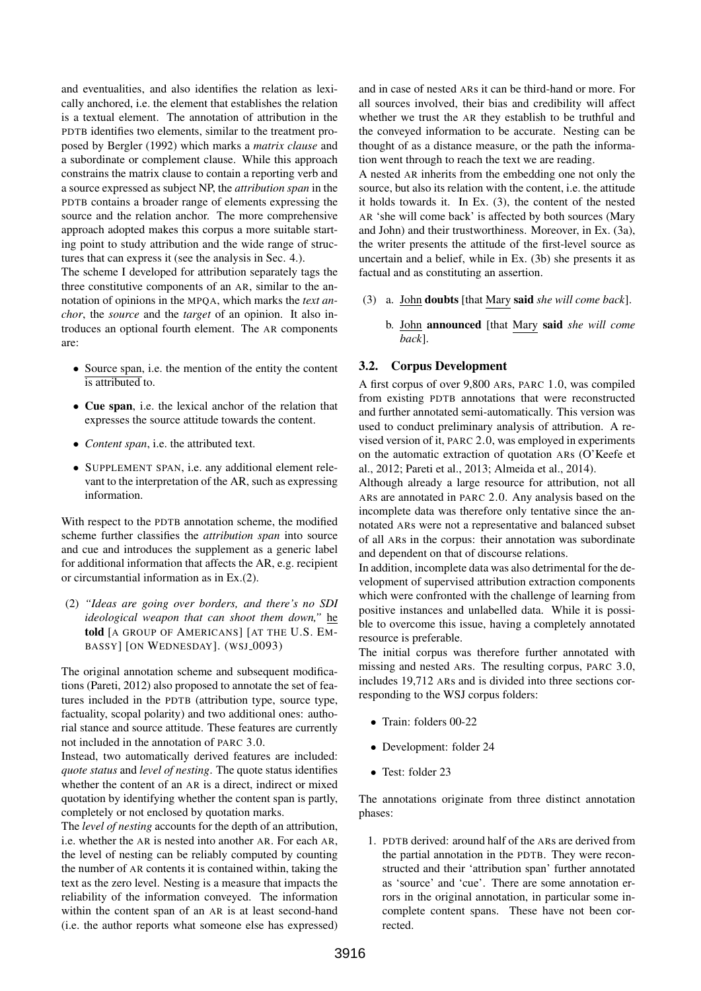and eventualities, and also identifies the relation as lexically anchored, i.e. the element that establishes the relation is a textual element. The annotation of attribution in the PDTB identifies two elements, similar to the treatment proposed by Bergler (1992) which marks a *matrix clause* and a subordinate or complement clause. While this approach constrains the matrix clause to contain a reporting verb and a source expressed as subject NP, the *attribution span* in the PDTB contains a broader range of elements expressing the source and the relation anchor. The more comprehensive approach adopted makes this corpus a more suitable starting point to study attribution and the wide range of structures that can express it (see the analysis in Sec. 4.).

The scheme I developed for attribution separately tags the three constitutive components of an AR, similar to the annotation of opinions in the MPQA, which marks the *text anchor*, the *source* and the *target* of an opinion. It also introduces an optional fourth element. The AR components are:

- Source span, i.e. the mention of the entity the content is attributed to.
- Cue span, i.e. the lexical anchor of the relation that expresses the source attitude towards the content.
- *Content span*, i.e. the attributed text.
- SUPPLEMENT SPAN, i.e. any additional element relevant to the interpretation of the AR, such as expressing information.

With respect to the PDTB annotation scheme, the modified scheme further classifies the *attribution span* into source and cue and introduces the supplement as a generic label for additional information that affects the AR, e.g. recipient or circumstantial information as in Ex.(2).

(2) *"Ideas are going over borders, and there's no SDI ideological weapon that can shoot them down,"* he told [A GROUP OF AMERICANS] [AT THE U.S. EM-BASSY] [ON WEDNESDAY]. (WSJ\_0093)

The original annotation scheme and subsequent modifications (Pareti, 2012) also proposed to annotate the set of features included in the PDTB (attribution type, source type, factuality, scopal polarity) and two additional ones: authorial stance and source attitude. These features are currently not included in the annotation of PARC 3.0.

Instead, two automatically derived features are included: *quote status* and *level of nesting*. The quote status identifies whether the content of an AR is a direct, indirect or mixed quotation by identifying whether the content span is partly, completely or not enclosed by quotation marks.

The *level of nesting* accounts for the depth of an attribution, i.e. whether the AR is nested into another AR. For each AR, the level of nesting can be reliably computed by counting the number of AR contents it is contained within, taking the text as the zero level. Nesting is a measure that impacts the reliability of the information conveyed. The information within the content span of an AR is at least second-hand (i.e. the author reports what someone else has expressed) and in case of nested ARs it can be third-hand or more. For all sources involved, their bias and credibility will affect whether we trust the AR they establish to be truthful and the conveyed information to be accurate. Nesting can be thought of as a distance measure, or the path the information went through to reach the text we are reading.

A nested AR inherits from the embedding one not only the source, but also its relation with the content, i.e. the attitude it holds towards it. In Ex. (3), the content of the nested AR 'she will come back' is affected by both sources (Mary and John) and their trustworthiness. Moreover, in Ex. (3a), the writer presents the attitude of the first-level source as uncertain and a belief, while in Ex. (3b) she presents it as factual and as constituting an assertion.

- (3) a. John doubts [that Mary said *she will come back*].
	- b. John announced [that Mary said *she will come back*].

# 3.2. Corpus Development

A first corpus of over 9,800 ARs, PARC 1.0, was compiled from existing PDTB annotations that were reconstructed and further annotated semi-automatically. This version was used to conduct preliminary analysis of attribution. A revised version of it, PARC 2.0, was employed in experiments on the automatic extraction of quotation ARs (O'Keefe et al., 2012; Pareti et al., 2013; Almeida et al., 2014).

Although already a large resource for attribution, not all ARs are annotated in PARC 2.0. Any analysis based on the incomplete data was therefore only tentative since the annotated ARs were not a representative and balanced subset of all ARs in the corpus: their annotation was subordinate and dependent on that of discourse relations.

In addition, incomplete data was also detrimental for the development of supervised attribution extraction components which were confronted with the challenge of learning from positive instances and unlabelled data. While it is possible to overcome this issue, having a completely annotated resource is preferable.

The initial corpus was therefore further annotated with missing and nested ARs. The resulting corpus, PARC 3.0, includes 19,712 ARs and is divided into three sections corresponding to the WSJ corpus folders:

- Train: folders 00-22
- Development: folder 24
- Test: folder 23

The annotations originate from three distinct annotation phases:

1. PDTB derived: around half of the ARs are derived from the partial annotation in the PDTB. They were reconstructed and their 'attribution span' further annotated as 'source' and 'cue'. There are some annotation errors in the original annotation, in particular some incomplete content spans. These have not been corrected.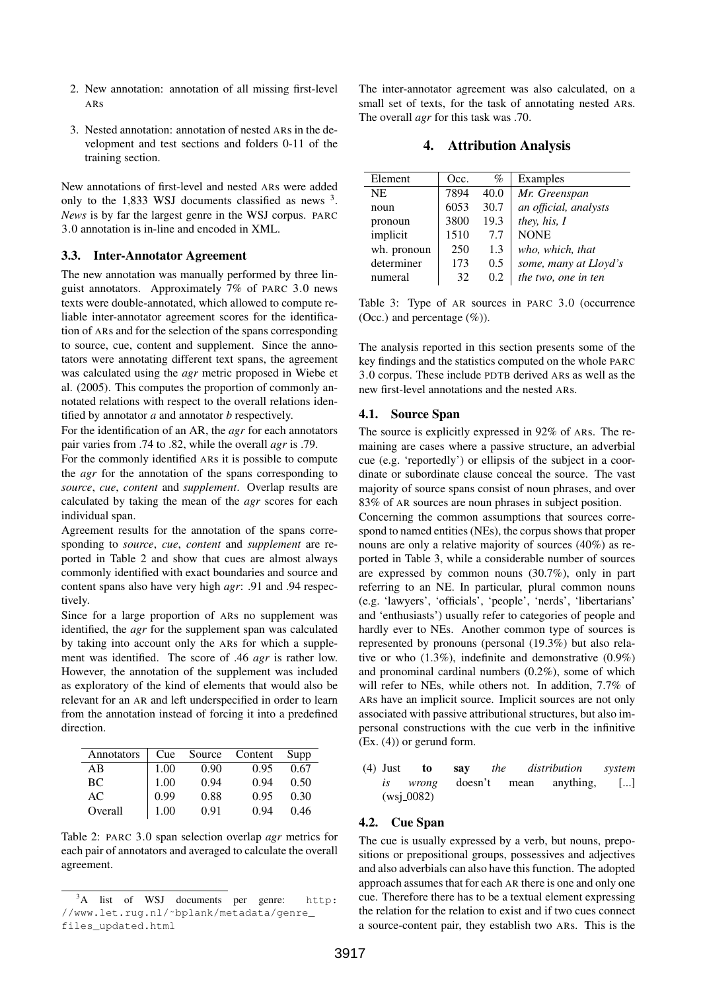- 2. New annotation: annotation of all missing first-level ARs
- 3. Nested annotation: annotation of nested ARs in the development and test sections and folders 0-11 of the training section.

New annotations of first-level and nested ARs were added only to the  $1,833$  WSJ documents classified as news  $3$ . *News* is by far the largest genre in the WSJ corpus. PARC 3.0 annotation is in-line and encoded in XML.

## 3.3. Inter-Annotator Agreement

The new annotation was manually performed by three linguist annotators. Approximately 7% of PARC 3.0 news texts were double-annotated, which allowed to compute reliable inter-annotator agreement scores for the identification of ARs and for the selection of the spans corresponding to source, cue, content and supplement. Since the annotators were annotating different text spans, the agreement was calculated using the *agr* metric proposed in Wiebe et al. (2005). This computes the proportion of commonly annotated relations with respect to the overall relations identified by annotator *a* and annotator *b* respectively.

For the identification of an AR, the *agr* for each annotators pair varies from .74 to .82, while the overall *agr* is .79.

For the commonly identified ARs it is possible to compute the *agr* for the annotation of the spans corresponding to *source*, *cue*, *content* and *supplement*. Overlap results are calculated by taking the mean of the *agr* scores for each individual span.

Agreement results for the annotation of the spans corresponding to *source*, *cue*, *content* and *supplement* are reported in Table 2 and show that cues are almost always commonly identified with exact boundaries and source and content spans also have very high *agr*: .91 and .94 respectively.

Since for a large proportion of ARs no supplement was identified, the *agr* for the supplement span was calculated by taking into account only the ARs for which a supplement was identified. The score of .46 *agr* is rather low. However, the annotation of the supplement was included as exploratory of the kind of elements that would also be relevant for an AR and left underspecified in order to learn from the annotation instead of forcing it into a predefined direction.

| Annotators | Cue  | Source | Content | Supp |
|------------|------|--------|---------|------|
| AB         | 1.00 | 0.90   | 0.95    | 0.67 |
| BC.        | 1.00 | 0.94   | 0.94    | 0.50 |
| AC         | 0.99 | 0.88   | 0.95    | 0.30 |
| Overall    | 1.00 | 0.91   | 0.94    | 0.46 |

Table 2: PARC 3.0 span selection overlap *agr* metrics for each pair of annotators and averaged to calculate the overall agreement.

The inter-annotator agreement was also calculated, on a small set of texts, for the task of annotating nested ARs. The overall *agr* for this task was .70.

# 4. Attribution Analysis

| Element     | Occ. | $\%$          | Examples              |
|-------------|------|---------------|-----------------------|
| <b>NE</b>   | 7894 | 40.0          | Mr. Greenspan         |
| noun        | 6053 | 30.7          | an official, analysts |
| pronoun     | 3800 | 19.3          | they, his, I          |
| implicit    | 1510 | 7.7           | <b>NONE</b>           |
| wh. pronoun | 250  | 1.3           | who, which, that      |
| determiner  | 173  | $0.5^{\circ}$ | some, many at Lloyd's |
| numeral     | 32   | 0.2           | the two, one in ten   |

Table 3: Type of AR sources in PARC 3.0 (occurrence (Occ.) and percentage  $(\%)$ ).

The analysis reported in this section presents some of the key findings and the statistics computed on the whole PARC 3.0 corpus. These include PDTB derived ARs as well as the new first-level annotations and the nested ARs.

#### 4.1. Source Span

The source is explicitly expressed in 92% of ARs. The remaining are cases where a passive structure, an adverbial cue (e.g. 'reportedly') or ellipsis of the subject in a coordinate or subordinate clause conceal the source. The vast majority of source spans consist of noun phrases, and over 83% of AR sources are noun phrases in subject position.

Concerning the common assumptions that sources correspond to named entities (NEs), the corpus shows that proper nouns are only a relative majority of sources (40%) as reported in Table 3, while a considerable number of sources are expressed by common nouns (30.7%), only in part referring to an NE. In particular, plural common nouns (e.g. 'lawyers', 'officials', 'people', 'nerds', 'libertarians' and 'enthusiasts') usually refer to categories of people and hardly ever to NEs. Another common type of sources is represented by pronouns (personal (19.3%) but also relative or who (1.3%), indefinite and demonstrative (0.9%) and pronominal cardinal numbers (0.2%), some of which will refer to NEs, while others not. In addition, 7.7% of ARs have an implicit source. Implicit sources are not only associated with passive attributional structures, but also impersonal constructions with the cue verb in the infinitive (Ex. (4)) or gerund form.

(4) Just to say *the distribution system is wrong* doesn't mean anything, [...]  $(wsi_0 0082)$ 

## 4.2. Cue Span

The cue is usually expressed by a verb, but nouns, prepositions or prepositional groups, possessives and adjectives and also adverbials can also have this function. The adopted approach assumes that for each AR there is one and only one cue. Therefore there has to be a textual element expressing the relation for the relation to exist and if two cues connect a source-content pair, they establish two ARs. This is the

<sup>&</sup>lt;sup>3</sup>A list of WSJ documents per genre: http: //www.let.rug.nl/˜bplank/metadata/genre\_ files\_updated.html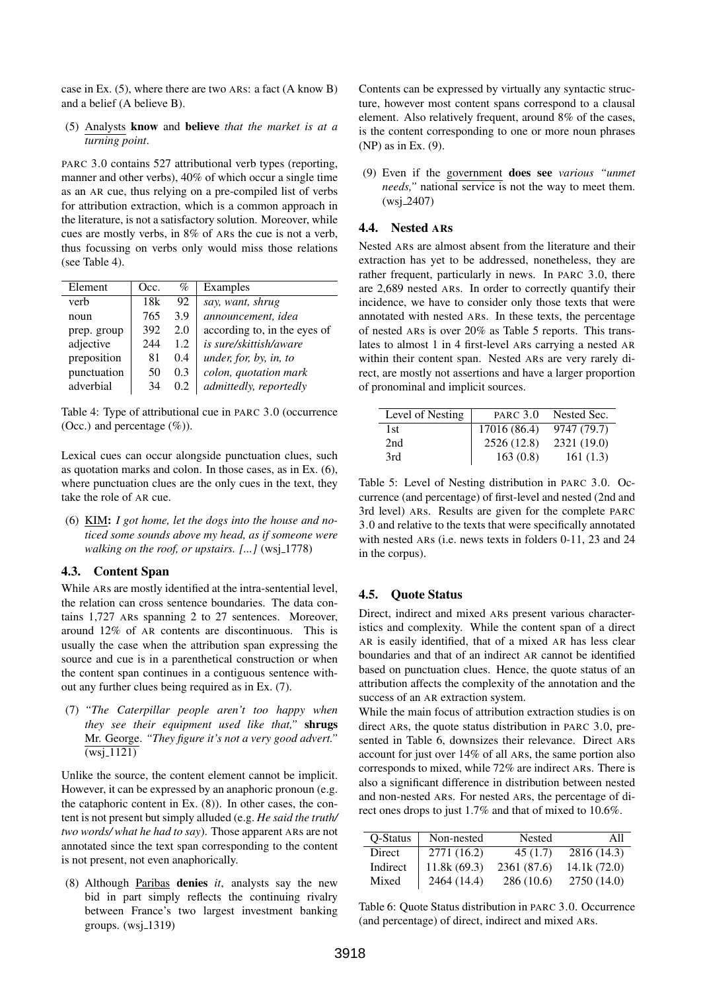case in Ex. (5), where there are two ARs: a fact (A know B) and a belief (A believe B).

(5) Analysts know and believe *that the market is at a turning point*.

PARC 3.0 contains 527 attributional verb types (reporting, manner and other verbs), 40% of which occur a single time as an AR cue, thus relying on a pre-compiled list of verbs for attribution extraction, which is a common approach in the literature, is not a satisfactory solution. Moreover, while cues are mostly verbs, in 8% of ARs the cue is not a verb, thus focussing on verbs only would miss those relations (see Table 4).

| Element     | Occ. | $\%$ | Examples                     |
|-------------|------|------|------------------------------|
| verb        | 18k  | 92   | say, want, shrug             |
| noun        | 765  | 3.9  | announcement, idea           |
| prep. group | 392  | 2.0  | according to, in the eyes of |
| adjective   | 244  | 1.2. | is sure/skittish/aware       |
| preposition | 81   | 0.4  | under, for, by, in, to       |
| punctuation | 50   | 0.3  | colon, quotation mark        |
| adverbial   | 34   | 0.2  | admittedly, reportedly       |
|             |      |      |                              |

Table 4: Type of attributional cue in PARC 3.0 (occurrence (Occ.) and percentage  $(\%)$ ).

Lexical cues can occur alongside punctuation clues, such as quotation marks and colon. In those cases, as in Ex. (6), where punctuation clues are the only cues in the text, they take the role of AR cue.

(6) KIM: *I got home, let the dogs into the house and noticed some sounds above my head, as if someone were walking on the roof, or upstairs.* [...] (wsj<sub>-1778)</sub>

## 4.3. Content Span

While ARs are mostly identified at the intra-sentential level, the relation can cross sentence boundaries. The data contains 1,727 ARs spanning 2 to 27 sentences. Moreover, around 12% of AR contents are discontinuous. This is usually the case when the attribution span expressing the source and cue is in a parenthetical construction or when the content span continues in a contiguous sentence without any further clues being required as in Ex. (7).

(7) *"The Caterpillar people aren't too happy when they see their equipment used like that,"* shrugs Mr. George. *"They figure it's not a very good advert."*  $\overline{\text{(wsj-1121)}}$ 

Unlike the source, the content element cannot be implicit. However, it can be expressed by an anaphoric pronoun (e.g. the cataphoric content in Ex. (8)). In other cases, the content is not present but simply alluded (e.g. *He said the truth/ two words/ what he had to say*). Those apparent ARs are not annotated since the text span corresponding to the content is not present, not even anaphorically.

(8) Although Paribas denies *it*, analysts say the new bid in part simply reflects the continuing rivalry between France's two largest investment banking groups.  $(wsj_1319)$ 

Contents can be expressed by virtually any syntactic structure, however most content spans correspond to a clausal element. Also relatively frequent, around 8% of the cases, is the content corresponding to one or more noun phrases (NP) as in Ex. (9).

(9) Even if the government does see *various "unmet needs,"* national service is not the way to meet them.  $(wsi_2 2407)$ 

## 4.4. Nested ARs

Nested ARs are almost absent from the literature and their extraction has yet to be addressed, nonetheless, they are rather frequent, particularly in news. In PARC 3.0, there are 2,689 nested ARs. In order to correctly quantify their incidence, we have to consider only those texts that were annotated with nested ARs. In these texts, the percentage of nested ARs is over 20% as Table 5 reports. This translates to almost 1 in 4 first-level ARs carrying a nested AR within their content span. Nested ARs are very rarely direct, are mostly not assertions and have a larger proportion of pronominal and implicit sources.

| Level of Nesting | <b>PARC</b> 3.0 | Nested Sec. |
|------------------|-----------------|-------------|
| 1st              | 17016 (86.4)    | 9747 (79.7) |
| 2nd              | 2526 (12.8)     | 2321 (19.0) |
| 3rd              | 163(0.8)        | 161(1.3)    |

Table 5: Level of Nesting distribution in PARC 3.0. Occurrence (and percentage) of first-level and nested (2nd and 3rd level) ARs. Results are given for the complete PARC 3.0 and relative to the texts that were specifically annotated with nested ARs (i.e. news texts in folders 0-11, 23 and 24 in the corpus).

#### 4.5. Quote Status

Direct, indirect and mixed ARs present various characteristics and complexity. While the content span of a direct AR is easily identified, that of a mixed AR has less clear boundaries and that of an indirect AR cannot be identified based on punctuation clues. Hence, the quote status of an attribution affects the complexity of the annotation and the success of an AR extraction system.

While the main focus of attribution extraction studies is on direct ARs, the quote status distribution in PARC 3.0, presented in Table 6, downsizes their relevance. Direct ARs account for just over 14% of all ARs, the same portion also corresponds to mixed, while 72% are indirect ARs. There is also a significant difference in distribution between nested and non-nested ARs. For nested ARs, the percentage of direct ones drops to just 1.7% and that of mixed to 10.6%.

| O-Status | Non-nested  | Nested      | A11         |
|----------|-------------|-------------|-------------|
| Direct   | 2771 (16.2) | 45(1.7)     | 2816 (14.3) |
| Indirect | 11.8k(69.3) | 2361 (87.6) | 14.1k(72.0) |
| Mixed    | 2464 (14.4) | 286(10.6)   | 2750 (14.0) |

Table 6: Quote Status distribution in PARC 3.0. Occurrence (and percentage) of direct, indirect and mixed ARs.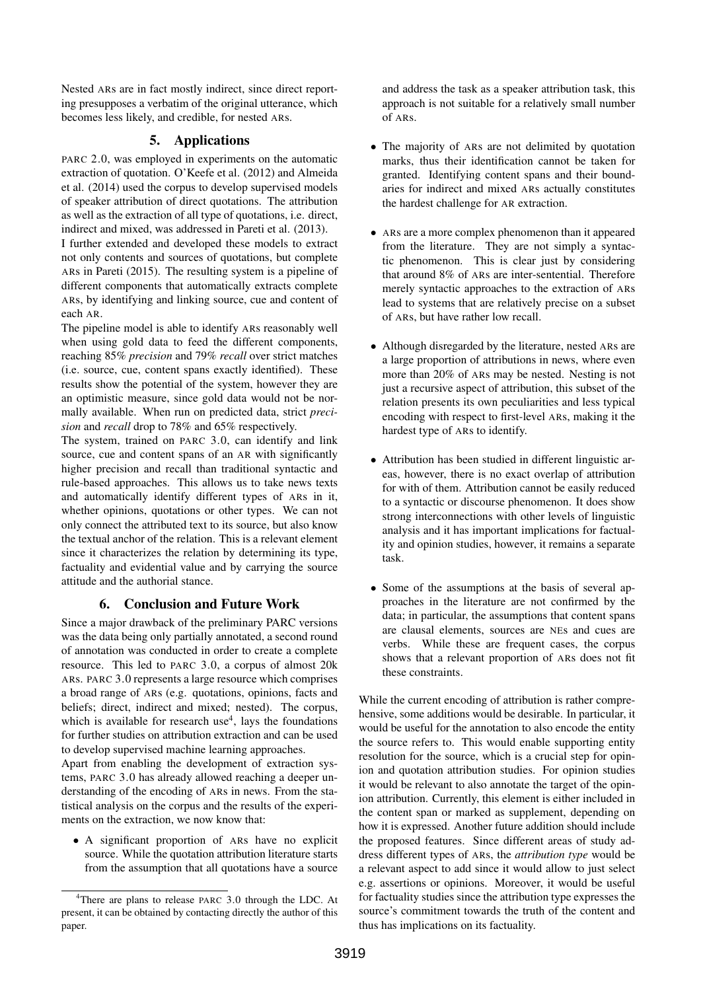Nested ARs are in fact mostly indirect, since direct reporting presupposes a verbatim of the original utterance, which becomes less likely, and credible, for nested ARs.

# 5. Applications

PARC 2.0, was employed in experiments on the automatic extraction of quotation. O'Keefe et al. (2012) and Almeida et al. (2014) used the corpus to develop supervised models of speaker attribution of direct quotations. The attribution as well as the extraction of all type of quotations, i.e. direct, indirect and mixed, was addressed in Pareti et al. (2013).

I further extended and developed these models to extract not only contents and sources of quotations, but complete ARs in Pareti (2015). The resulting system is a pipeline of different components that automatically extracts complete ARs, by identifying and linking source, cue and content of each AR.

The pipeline model is able to identify ARs reasonably well when using gold data to feed the different components, reaching 85% *precision* and 79% *recall* over strict matches (i.e. source, cue, content spans exactly identified). These results show the potential of the system, however they are an optimistic measure, since gold data would not be normally available. When run on predicted data, strict *precision* and *recall* drop to 78% and 65% respectively.

The system, trained on PARC 3.0, can identify and link source, cue and content spans of an AR with significantly higher precision and recall than traditional syntactic and rule-based approaches. This allows us to take news texts and automatically identify different types of ARs in it, whether opinions, quotations or other types. We can not only connect the attributed text to its source, but also know the textual anchor of the relation. This is a relevant element since it characterizes the relation by determining its type, factuality and evidential value and by carrying the source attitude and the authorial stance.

# 6. Conclusion and Future Work

Since a major drawback of the preliminary PARC versions was the data being only partially annotated, a second round of annotation was conducted in order to create a complete resource. This led to PARC 3.0, a corpus of almost 20k ARs. PARC 3.0 represents a large resource which comprises a broad range of ARs (e.g. quotations, opinions, facts and beliefs; direct, indirect and mixed; nested). The corpus, which is available for research use<sup>4</sup>, lays the foundations for further studies on attribution extraction and can be used to develop supervised machine learning approaches.

Apart from enabling the development of extraction systems, PARC 3.0 has already allowed reaching a deeper understanding of the encoding of ARs in news. From the statistical analysis on the corpus and the results of the experiments on the extraction, we now know that:

• A significant proportion of ARs have no explicit source. While the quotation attribution literature starts from the assumption that all quotations have a source

and address the task as a speaker attribution task, this approach is not suitable for a relatively small number of ARs.

- The majority of ARs are not delimited by quotation marks, thus their identification cannot be taken for granted. Identifying content spans and their boundaries for indirect and mixed ARs actually constitutes the hardest challenge for AR extraction.
- ARs are a more complex phenomenon than it appeared from the literature. They are not simply a syntactic phenomenon. This is clear just by considering that around 8% of ARs are inter-sentential. Therefore merely syntactic approaches to the extraction of ARs lead to systems that are relatively precise on a subset of ARs, but have rather low recall.
- Although disregarded by the literature, nested ARs are a large proportion of attributions in news, where even more than 20% of ARs may be nested. Nesting is not just a recursive aspect of attribution, this subset of the relation presents its own peculiarities and less typical encoding with respect to first-level ARs, making it the hardest type of ARs to identify.
- Attribution has been studied in different linguistic areas, however, there is no exact overlap of attribution for with of them. Attribution cannot be easily reduced to a syntactic or discourse phenomenon. It does show strong interconnections with other levels of linguistic analysis and it has important implications for factuality and opinion studies, however, it remains a separate task.
- Some of the assumptions at the basis of several approaches in the literature are not confirmed by the data; in particular, the assumptions that content spans are clausal elements, sources are NEs and cues are verbs. While these are frequent cases, the corpus shows that a relevant proportion of ARs does not fit these constraints.

While the current encoding of attribution is rather comprehensive, some additions would be desirable. In particular, it would be useful for the annotation to also encode the entity the source refers to. This would enable supporting entity resolution for the source, which is a crucial step for opinion and quotation attribution studies. For opinion studies it would be relevant to also annotate the target of the opinion attribution. Currently, this element is either included in the content span or marked as supplement, depending on how it is expressed. Another future addition should include the proposed features. Since different areas of study address different types of ARs, the *attribution type* would be a relevant aspect to add since it would allow to just select e.g. assertions or opinions. Moreover, it would be useful for factuality studies since the attribution type expresses the source's commitment towards the truth of the content and thus has implications on its factuality.

<sup>&</sup>lt;sup>4</sup>There are plans to release PARC 3.0 through the LDC. At present, it can be obtained by contacting directly the author of this paper.